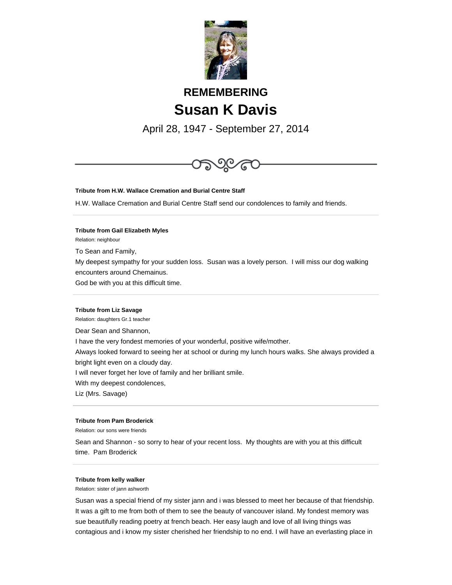

# **REMEMBERING Susan K Davis**

April 28, 1947 - September 27, 2014



**Tribute from H.W. Wallace Cremation and Burial Centre Staff**

H.W. Wallace Cremation and Burial Centre Staff send our condolences to family and friends.

## **Tribute from Gail Elizabeth Myles**

Relation: neighbour

To Sean and Family,

My deepest sympathy for your sudden loss. Susan was a lovely person. I will miss our dog walking encounters around Chemainus.

God be with you at this difficult time.

#### **Tribute from Liz Savage**

Relation: daughters Gr.1 teacher

Dear Sean and Shannon,

I have the very fondest memories of your wonderful, positive wife/mother.

Always looked forward to seeing her at school or during my lunch hours walks. She always provided a bright light even on a cloudy day.

I will never forget her love of family and her brilliant smile.

With my deepest condolences,

Liz (Mrs. Savage)

#### **Tribute from Pam Broderick**

Relation: our sons were friends

Sean and Shannon - so sorry to hear of your recent loss. My thoughts are with you at this difficult time. Pam Broderick

## **Tribute from kelly walker**

Relation: sister of jann ashworth

Susan was a special friend of my sister jann and i was blessed to meet her because of that friendship. It was a gift to me from both of them to see the beauty of vancouver island. My fondest memory was sue beautifully reading poetry at french beach. Her easy laugh and love of all living things was contagious and i know my sister cherished her friendship to no end. I will have an everlasting place in